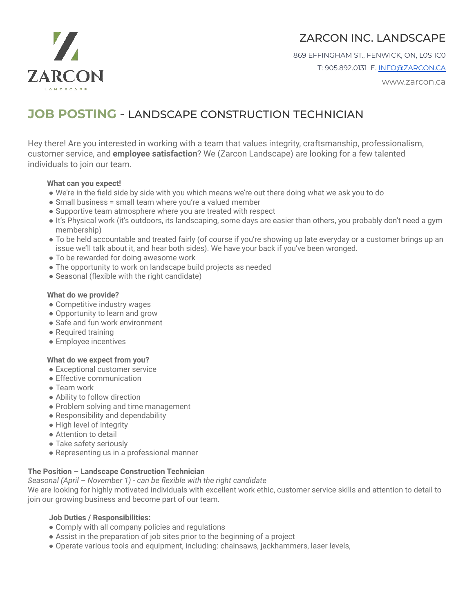

## ZARCON INC. LANDSCAPE

869 EFFINGHAM ST., FENWICK, ON, L0S 1C0 T: 905.892.0131 E. [INFO@ZARCON.CA](mailto:INFO@ZARCON.CA)

www.zarcon.ca

# **JOB POSTING** - LANDSCAPE CONSTRUCTION TECHNICIAN

Hey there! Are you interested in working with a team that values integrity, craftsmanship, professionalism, customer service, and **employee satisfaction**? We (Zarcon Landscape) are looking for a few talented individuals to join our team.

#### **What can you expect!**

- We're in the field side by side with you which means we're out there doing what we ask you to do
- Small business = small team where you're a valued member
- Supportive team atmosphere where you are treated with respect
- It's Physical work (it's outdoors, its landscaping, some days are easier than others, you probably don't need a gym membership)
- To be held accountable and treated fairly (of course if you're showing up late everyday or a customer brings up an issue we'll talk about it, and hear both sides). We have your back if you've been wronged.
- To be rewarded for doing awesome work
- The opportunity to work on landscape build projects as needed
- Seasonal (flexible with the right candidate)

#### **What do we provide?**

- Competitive industry wages
- Opportunity to learn and grow
- Safe and fun work environment
- Required training
- Employee incentives

#### **What do we expect from you?**

- Exceptional customer service
- Effective communication
- Team work
- Ability to follow direction
- Problem solving and time management
- Responsibility and dependability
- High level of integrity
- Attention to detail
- Take safety seriously
- Representing us in a professional manner

#### **The Position – Landscape Construction Technician**

*Seasonal (April – November 1) - can be flexible with the right candidate*

We are looking for highly motivated individuals with excellent work ethic, customer service skills and attention to detail to join our growing business and become part of our team.

#### **Job Duties / Responsibilities:**

- Comply with all company policies and regulations
- Assist in the preparation of job sites prior to the beginning of a project
- Operate various tools and equipment, including: chainsaws, jackhammers, laser levels,